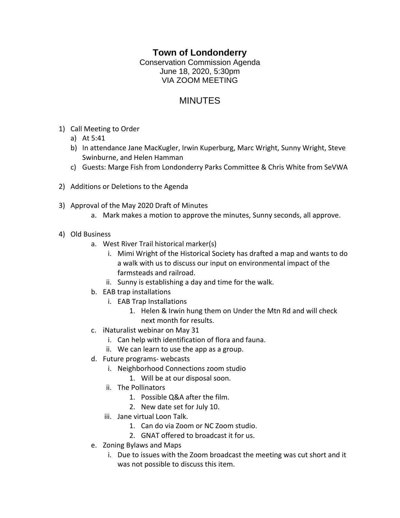## **Town of Londonderry**

Conservation Commission Agenda June 18, 2020, 5:30pm VIA ZOOM MEETING

## MINUTES

- 1) Call Meeting to Order
	- a) At 5:41
	- b) In attendance Jane MacKugler, Irwin Kuperburg, Marc Wright, Sunny Wright, Steve Swinburne, and Helen Hamman
	- c) Guests: Marge Fish from Londonderry Parks Committee & Chris White from SeVWA
- 2) Additions or Deletions to the Agenda
- 3) Approval of the May 2020 Draft of Minutes
	- a. Mark makes a motion to approve the minutes, Sunny seconds, all approve.
- 4) Old Business
	- a. West River Trail historical marker(s)
		- i. Mimi Wright of the Historical Society has drafted a map and wants to do a walk with us to discuss our input on environmental impact of the farmsteads and railroad.
		- ii. Sunny is establishing a day and time for the walk.
	- b. EAB trap installations
		- i. EAB Trap Installations
			- 1. Helen & Irwin hung them on Under the Mtn Rd and will check next month for results.
	- c. iNaturalist webinar on May 31
		- i. Can help with identification of flora and fauna.
		- ii. We can learn to use the app as a group.
	- d. Future programs- webcasts
		- i. Neighborhood Connections zoom studio
			- 1. Will be at our disposal soon.
		- ii. The Pollinators
			- 1. Possible Q&A after the film.
			- 2. New date set for July 10.
		- iii. Jane virtual Loon Talk.
			- 1. Can do via Zoom or NC Zoom studio.
			- 2. GNAT offered to broadcast it for us.
	- e. Zoning Bylaws and Maps
		- i. Due to issues with the Zoom broadcast the meeting was cut short and it was not possible to discuss this item.